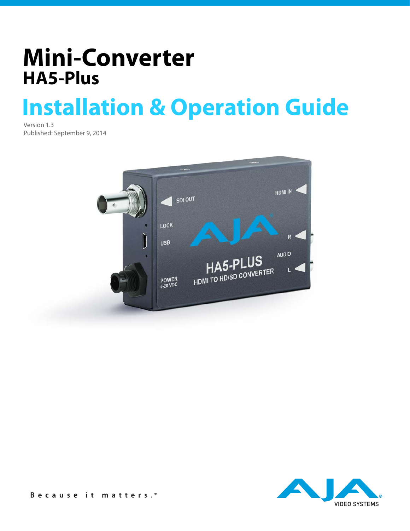# **Mini-Converter HA5-Plus**

# **Installation & Operation Guide**

Version 1.3 Published: September 9, 2014



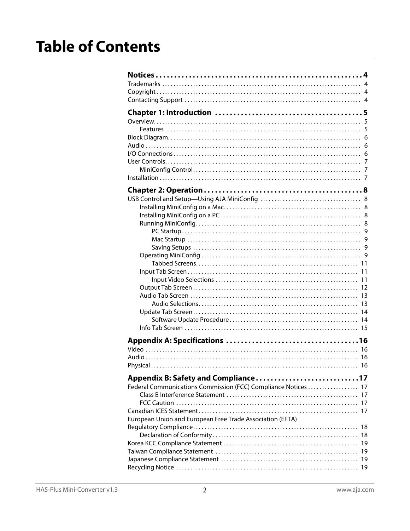|                                                                | 5  |
|----------------------------------------------------------------|----|
|                                                                |    |
|                                                                |    |
|                                                                |    |
|                                                                |    |
|                                                                |    |
|                                                                |    |
|                                                                |    |
|                                                                |    |
|                                                                |    |
|                                                                |    |
|                                                                |    |
|                                                                |    |
|                                                                |    |
|                                                                |    |
|                                                                |    |
|                                                                |    |
|                                                                |    |
|                                                                |    |
|                                                                |    |
|                                                                |    |
|                                                                |    |
|                                                                |    |
|                                                                |    |
|                                                                |    |
|                                                                |    |
|                                                                |    |
|                                                                | 16 |
|                                                                |    |
|                                                                |    |
|                                                                |    |
| Federal Communications Commission (FCC) Compliance Notices  17 |    |
|                                                                |    |
|                                                                |    |
| European Union and European Free Trade Association (EFTA)      |    |
|                                                                | 18 |
|                                                                |    |
|                                                                |    |
|                                                                |    |
|                                                                |    |
|                                                                |    |
|                                                                |    |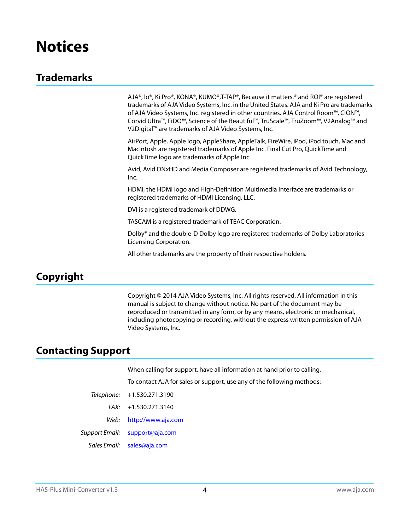## <span id="page-3-1"></span><span id="page-3-0"></span>**Trademarks**

AJA®, lo®, Ki Pro®, KONA®, KUMO®,T-TAP®, Because it matters.® and ROI® are registered trademarks of AJA Video Systems, Inc. in the United States. AJA and Ki Pro are trademarks of AJA Video Systems, Inc. registered in other countries. AJA Control Room™, CION™, Corvid Ultra™, FiDO™, Science of the Beautiful™, TruScale™, TruZoom™, V2Analog™ and V2Digital™ are trademarks of AJA Video Systems, Inc.

AirPort, Apple, Apple logo, AppleShare, AppleTalk, FireWire, iPod, iPod touch, Mac and Macintosh are registered trademarks of Apple Inc. Final Cut Pro, QuickTime and QuickTime logo are trademarks of Apple Inc.

Avid, Avid DNxHD and Media Composer are registered trademarks of Avid Technology, Inc.

HDMI, the HDMI logo and High-Definition Multimedia Interface are trademarks or registered trademarks of HDMI Licensing, LLC.

DVI is a registered trademark of DDWG.

TASCAM is a registered trademark of TEAC Corporation.

Dolby® and the double-D Dolby logo are registered trademarks of Dolby Laboratories Licensing Corporation.

All other trademarks are the property of their respective holders.

## <span id="page-3-2"></span>**Copyright**

Copyright © 2014 AJA Video Systems, Inc. All rights reserved. All information in this manual is subject to change without notice. No part of the document may be reproduced or transmitted in any form, or by any means, electronic or mechanical, including photocopying or recording, without the express written permission of AJA Video Systems, Inc.

## <span id="page-3-3"></span>**Contacting Support**

When calling for support, have all information at hand prior to calling.

To contact AJA for sales or support, use any of the following methods:

FAX: +1.530.271.3140

Web: http://www.aja.com

Support Email: support@aja.com

Sales Email: sales@aja.com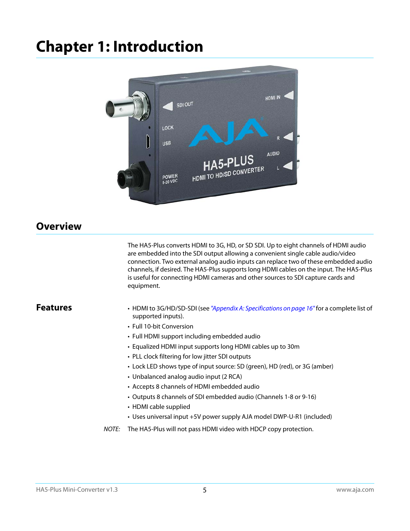# <span id="page-4-0"></span>**Chapter 1: Introduction**



## <span id="page-4-5"></span><span id="page-4-1"></span>**Overview**

<span id="page-4-4"></span>The HA5-Plus converts HDMI to 3G, HD, or SD SDI. Up to eight channels of HDMI audio are embedded into the SDI output allowing a convenient single cable audio/video connection. Two external analog audio inputs can replace two of these embedded audio channels, if desired. The HA5-Plus supports long HDMI cables on the input. The HA5-Plus is useful for connecting HDMI cameras and other sources to SDI capture cards and equipment.

- <span id="page-4-3"></span><span id="page-4-2"></span>**Features** • HDMI to 3G/HD/SD-SDI (see ["Appendix A: Specifications on page 16"](#page-15-4) for a complete list of supported inputs).
	- Full 10-bit Conversion
	- Full HDMI support including embedded audio
	- Equalized HDMI input supports long HDMI cables up to 30m
	- PLL clock filtering for low jitter SDI outputs
	- Lock LED shows type of input source: SD (green), HD (red), or 3G (amber)
	- Unbalanced analog audio input (2 RCA)
	- Accepts 8 channels of HDMI embedded audio
	- Outputs 8 channels of SDI embedded audio (Channels 1-8 or 9-16)
	- HDMI cable supplied
	- Uses universal input +5V power supply AJA model DWP-U-R1 (included)
	- NOTE: The HA5-Plus will not pass HDMI video with HDCP copy protection.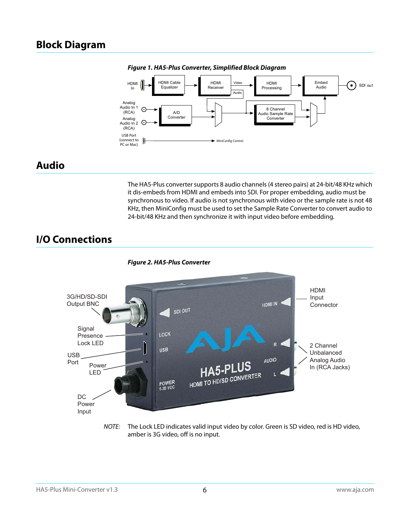## <span id="page-5-3"></span><span id="page-5-0"></span>**Block Diagram**



*Figure 1. HA5-Plus Converter, Simplified Block Diagram*

## <span id="page-5-1"></span>**Audio**

The HA5-Plus converter supports 8 audio channels (4 stereo pairs) at 24-bit/48 KHz which it dis-embeds from HDMI and embeds into SDI. For proper embedding, audio must be synchronous to video. If audio is not synchronous with video or the sample rate is not 48 KHz, then MiniConfig must be used to set the Sample Rate Converter to convert audio to 24-bit/48 KHz and then synchronize it with input video before embedding.

## <span id="page-5-2"></span>**I/O Connections**



NOTE: The Lock LED indicates valid input video by color. Green is SD video, red is HD video, amber is 3G video, off is no input.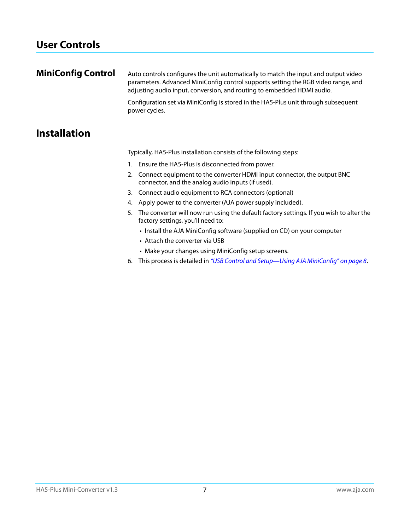## <span id="page-6-0"></span>**User Controls**

<span id="page-6-1"></span>

| <b>MiniConfig Control</b> | Auto controls configures the unit automatically to match the input and output video<br>parameters. Advanced MiniConfig control supports setting the RGB video range, and<br>adjusting audio input, conversion, and routing to embedded HDMI audio. |
|---------------------------|----------------------------------------------------------------------------------------------------------------------------------------------------------------------------------------------------------------------------------------------------|
|                           | Configuration set via MiniConfig is stored in the HA5-Plus unit through subsequent<br>power cycles.                                                                                                                                                |

## <span id="page-6-2"></span>**Installation**

Typically, HA5-Plus installation consists of the following steps:

- 1. Ensure the HA5-Plus is disconnected from power.
- 2. Connect equipment to the converter HDMI input connector, the output BNC connector, and the analog audio inputs (if used).
- 3. Connect audio equipment to RCA connectors (optional)
- 4. Apply power to the converter (AJA power supply included).
- 5. The converter will now run using the default factory settings. If you wish to alter the factory settings, you'll need to:
	- Install the AJA MiniConfig software (supplied on CD) on your computer
	- Attach the converter via USB
	- Make your changes using MiniConfig setup screens.
- 6. This process is detailed in ["USB Control and Setup—Using AJA MiniConfig" on page](#page-7-5) 8.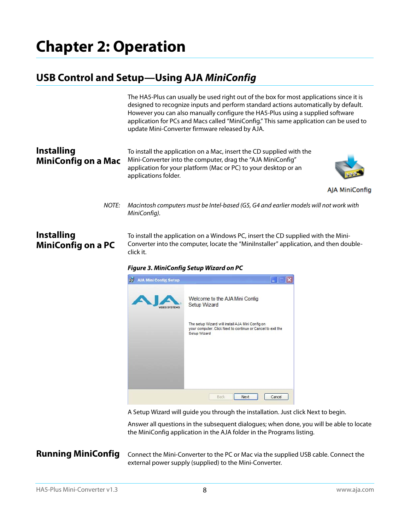## <span id="page-7-5"></span><span id="page-7-1"></span><span id="page-7-0"></span>**USB Control and Setup—Using AJA** *MiniConfig*

<span id="page-7-7"></span><span id="page-7-2"></span>

|                                                 | The HA5-Plus can usually be used right out of the box for most applications since it is<br>designed to recognize inputs and perform standard actions automatically by default.<br>However you can also manually configure the HA5-Plus using a supplied software<br>application for PCs and Macs called "MiniConfig." This same application can be used to<br>update Mini-Converter firmware released by AJA. |
|-------------------------------------------------|---------------------------------------------------------------------------------------------------------------------------------------------------------------------------------------------------------------------------------------------------------------------------------------------------------------------------------------------------------------------------------------------------------------|
| <b>Installing</b><br><b>MiniConfig on a Mac</b> | To install the application on a Mac, insert the CD supplied with the<br>Mini-Converter into the computer, drag the "AJA MiniConfig"<br>application for your platform (Mac or PC) to your desktop or an<br>applications folder.                                                                                                                                                                                |
|                                                 | AJA MiniConfig                                                                                                                                                                                                                                                                                                                                                                                                |
| NOTE:                                           | Macintosh computers must be Intel-based (G5, G4 and earlier models will not work with<br>MiniConfig).                                                                                                                                                                                                                                                                                                         |
| <b>Installing</b><br><b>MiniConfig on a PC</b>  | To install the application on a Windows PC, insert the CD supplied with the Mini-<br>Converter into the computer, locate the "Minilnstaller" application, and then double-<br>click it.                                                                                                                                                                                                                       |

<span id="page-7-8"></span><span id="page-7-3"></span>*Figure 3. MiniConfig Setup Wizard on PC*



A Setup Wizard will guide you through the installation. Just click Next to begin.

Answer all questions in the subsequent dialogues; when done, you will be able to locate the MiniConfig application in the AJA folder in the Programs listing.

<span id="page-7-6"></span><span id="page-7-4"></span>**Running MiniConfig** Connect the Mini-Converter to the PC or Mac via the supplied USB cable. Connect the external power supply (supplied) to the Mini-Converter.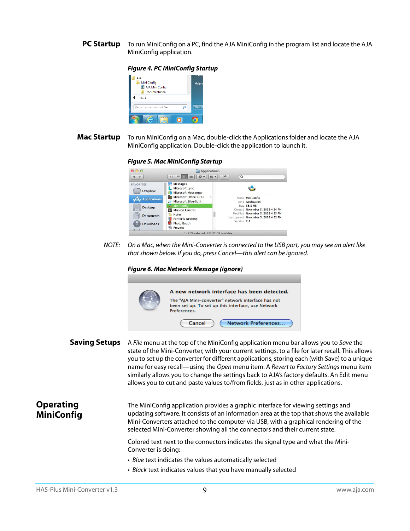<span id="page-8-0"></span>**PC Startup** To run MiniConfig on a PC, find the AJA MiniConfig in the program list and locate the AJA MiniConfig application.

#### *Figure 4. PC MiniConfig Startup*



<span id="page-8-1"></span>**Mac Startup** To run MiniConfig on a Mac, double-click the Applications folder and locate the AJA MiniConfig application. Double-click the application to launch it.

#### *Figure 5. Mac MiniConfig Startup*



NOTE: On a Mac, when the Mini-Converter is connected to the USB port, you may see an alert like that shown below. If you do, press Cancel—this alert can be ignored.

#### *Figure 6. Mac Network Message (ignore)*



<span id="page-8-2"></span>**Saving Setups** A File menu at the top of the MiniConfig application menu bar allows you to Save the state of the Mini-Converter, with your current settings, to a file for later recall. This allows you to set up the converter for different applications, storing each (with Save) to a unique name for easy recall—using the Open menu item. A Revert to Factory Settings menu item similarly allows you to change the settings back to AJA's factory defaults. An Edit menu allows you to cut and paste values to/from fields, just as in other applications.

<span id="page-8-4"></span><span id="page-8-3"></span>**Operating MiniConfig**

The MiniConfig application provides a graphic interface for viewing settings and updating software. It consists of an information area at the top that shows the available Mini-Converters attached to the computer via USB, with a graphical rendering of the selected Mini-Converter showing all the connectors and their current state.

Colored text next to the connectors indicates the signal type and what the Mini-Converter is doing:

- Blue text indicates the values automatically selected
- Black text indicates values that you have manually selected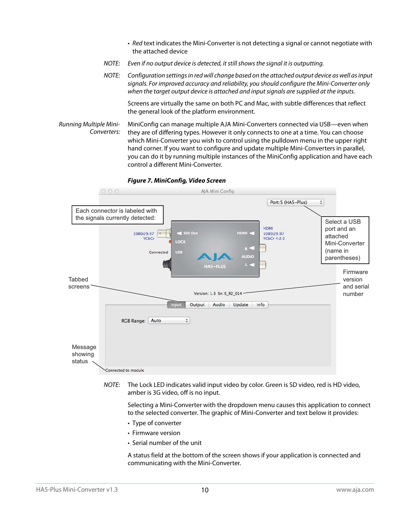- Red text indicates the Mini-Converter is not detecting a signal or cannot negotiate with the attached device
- NOTE: Even if no output device is detected, it still shows the signal it is outputting.
- NOTE: Configuration settings in red will change based on the attached output device as well as input signals. For improved accuracy and reliability, you should configure the Mini-Converter only when the target output device is attached and input signals are supplied at the inputs.

Screens are virtually the same on both PC and Mac, with subtle differences that reflect the general look of the platform environment.

<span id="page-9-2"></span>Running Multiple Mini-Converters: MiniConfig can manage multiple AJA Mini-Converters connected via USB—even when they are of differing types. However it only connects to one at a time. You can choose which Mini-Converter you wish to control using the pulldown menu in the upper right hand corner. If you want to configure and update multiple Mini-Converters in parallel, you can do it by running multiple instances of the MiniConfig application and have each control a different Mini-Converter.



<span id="page-9-1"></span>*Figure 7. MiniConfig, Video Screen*

NOTE: The Lock LED indicates valid input video by color. Green is SD video, red is HD video, amber is 3G video, off is no input.

Selecting a Mini-Converter with the dropdown menu causes this application to connect to the selected converter. The graphic of Mini-Converter and text below it provides:

- <span id="page-9-4"></span>• Type of converter
- <span id="page-9-3"></span><span id="page-9-0"></span>• Firmware version
- Serial number of the unit

A status field at the bottom of the screen shows if your application is connected and communicating with the Mini-Converter.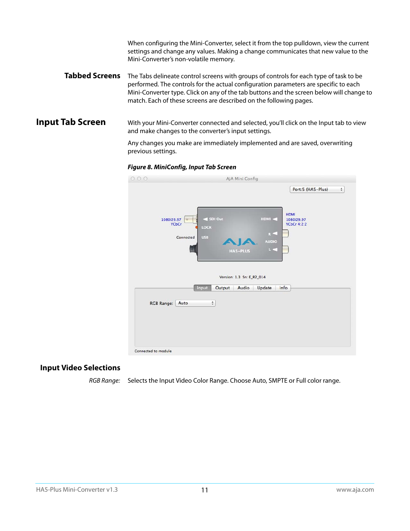When configuring the Mini-Converter, select it from the top pulldown, view the current settings and change any values. Making a change communicates that new value to the Mini-Converter's non-volatile memory.

<span id="page-10-6"></span><span id="page-10-0"></span>**Tabbed Screens** The Tabs delineate control screens with groups of controls for each type of task to be performed. The controls for the actual configuration parameters are specific to each Mini-Converter type. Click on any of the tab buttons and the screen below will change to match. Each of these screens are described on the following pages.

<span id="page-10-3"></span><span id="page-10-1"></span>**Input Tab Screen** With your Mini-Converter connected and selected, you'll click on the Input tab to view and make changes to the converter's input settings.

> Any changes you make are immediately implemented and are saved, overwriting previous settings.





### <span id="page-10-4"></span><span id="page-10-2"></span>**Input Video Selections**

<span id="page-10-5"></span>RGB Range: Selects the Input Video Color Range. Choose Auto, SMPTE or Full color range.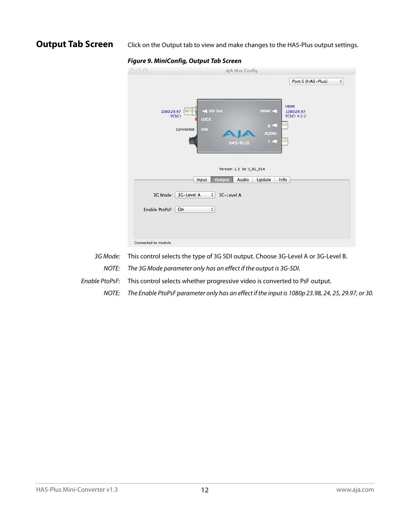<span id="page-11-3"></span><span id="page-11-0"></span>**Output Tab Screen** Click on the Output tab to view and make changes to the HA5-Plus output settings.

| O <sub>O</sub><br>Θ. | AJA Mini Config                                                                                                                   |                                                         |
|----------------------|-----------------------------------------------------------------------------------------------------------------------------------|---------------------------------------------------------|
|                      |                                                                                                                                   | Port:5 (HA5-Plus)<br>$\overset{\mathtt{A}}{\mathtt{v}}$ |
| 1080i29.97           | SDI Out<br>HDMI <<br>$\circ$<br><b>YCbCr</b><br>LOCK<br>R<<br><b>USB</b><br>Connected<br><b>AUDIO</b><br>$L =$<br><b>HAS-PLUS</b> | <b>HDMI</b><br>1080i29.97<br><b>YCbCr 4:2:2</b>         |
|                      | Version: 1.3 Sn: E_R2_014<br>Output<br>Audio<br>Update<br>Input                                                                   | Info                                                    |
|                      | 3G Mode: 3G-Level A<br>$\div$<br>3G-Level A                                                                                       |                                                         |
| Enable PtoPsF:       | $\stackrel{\mathtt{A}}{\mathtt{v}}$<br>On                                                                                         |                                                         |
| Connected to module  |                                                                                                                                   |                                                         |

<span id="page-11-1"></span>3G Mode: This control selects the type of 3G SDI output. Choose 3G-Level A or 3G-Level B. NOTE: The 3G Mode parameter only has an effect if the output is 3G-SDI.

<span id="page-11-2"></span>Enable PtoPsF: This control selects whether progressive video is converted to PsF output.

NOTE: The Enable PtoPsF parameter only has an effect if the input is 1080p 23.98, 24, 25, 29.97, or 30.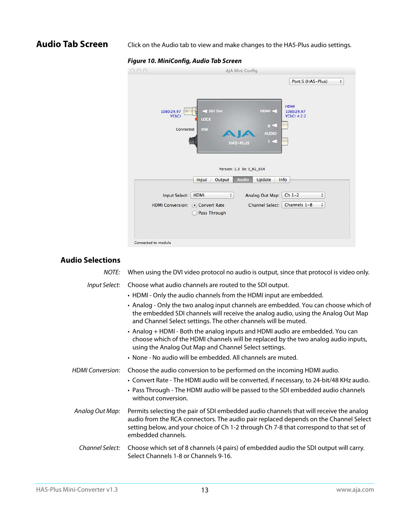<span id="page-12-6"></span><span id="page-12-0"></span>**Audio Tab Screen** Click on the Audio tab to view and make changes to the HA5-Plus audio settings.

## *Figure 10. MiniConfig, Audio Tab Screen*

| 0.00                       | AJA Mini Config                                                                                                        |                                                         |
|----------------------------|------------------------------------------------------------------------------------------------------------------------|---------------------------------------------------------|
|                            |                                                                                                                        | Port:5 (HA5-Plus)<br>$\overset{\mathtt{a}}{\mathtt{v}}$ |
| 1080i29.97<br><b>YCbCr</b> | < SDI Out<br>HDMI <<br>$\circ$<br>LOCK<br>$R =$<br><b>USB</b><br>Connected<br><b>AUDIO</b><br>$L =$<br><b>HAS-PLUS</b> | <b>HDMI</b><br>1080i29.97<br><b>YCbCr 4:2:2</b>         |
|                            | Version: 1.3 Sn: E_R2_014                                                                                              |                                                         |
|                            | Audio<br>Output<br>Update<br>Input                                                                                     | Info                                                    |
| Input Select:              | <b>HDMI</b><br>$\frac{4}{7}$<br>Analog Out Map:                                                                        | $Ch 1-2$<br>$\hat{\tau}$                                |
| <b>HDMI Conversion:</b>    | <b>Channel Select:</b><br>• Convert Rate<br>Pass Through                                                               | Channels 1-8<br>$\frac{A}{T}$                           |
| Connected to module        |                                                                                                                        |                                                         |

## <span id="page-12-5"></span><span id="page-12-1"></span>**Audio Selections**

<span id="page-12-13"></span><span id="page-12-12"></span><span id="page-12-11"></span><span id="page-12-10"></span><span id="page-12-9"></span><span id="page-12-8"></span><span id="page-12-7"></span><span id="page-12-4"></span><span id="page-12-3"></span><span id="page-12-2"></span>

| <b>NOTE:</b>            | When using the DVI video protocol no audio is output, since that protocol is video only.                                                                                                                                                                                                       |
|-------------------------|------------------------------------------------------------------------------------------------------------------------------------------------------------------------------------------------------------------------------------------------------------------------------------------------|
| Input Select:           | Choose what audio channels are routed to the SDI output.<br>• HDMI - Only the audio channels from the HDMI input are embedded.                                                                                                                                                                 |
|                         | • Analog - Only the two analog input channels are embedded. You can choose which of<br>the embedded SDI channels will receive the analog audio, using the Analog Out Map<br>and Channel Select settings. The other channels will be muted.                                                     |
|                         | • Analog + HDMI - Both the analog inputs and HDMI audio are embedded. You can<br>choose which of the HDMI channels will be replaced by the two analog audio inputs,<br>using the Analog Out Map and Channel Select settings.                                                                   |
|                         | • None - No audio will be embedded. All channels are muted.                                                                                                                                                                                                                                    |
| <b>HDMI</b> Conversion: | Choose the audio conversion to be performed on the incoming HDMI audio.<br>• Convert Rate - The HDMI audio will be converted, if necessary, to 24-bit/48 KHz audio.<br>• Pass Through - The HDMI audio will be passed to the SDI embedded audio channels<br>without conversion.                |
| Analog Out Map:         | Permits selecting the pair of SDI embedded audio channels that will receive the analog<br>audio from the RCA connectors. The audio pair replaced depends on the Channel Select<br>setting below, and your choice of Ch 1-2 through Ch 7-8 that correspond to that set of<br>embedded channels. |
| Channel Select:         | Choose which set of 8 channels (4 pairs) of embedded audio the SDI output will carry.<br>Select Channels 1-8 or Channels 9-16.                                                                                                                                                                 |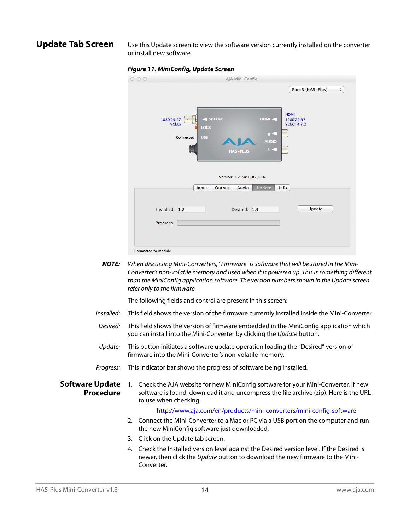<span id="page-13-3"></span><span id="page-13-0"></span>**Update Tab Screen** Use this Update screen to view the software version currently installed on the converter or install new software.



|                |                                                                             |                           |                                          | Port:5 (HA5-Plus)                               | $\overset{\mathtt{A}}{\mathtt{v}}$ |
|----------------|-----------------------------------------------------------------------------|---------------------------|------------------------------------------|-------------------------------------------------|------------------------------------|
| 1080i29.97     | SDI Out<br>$  0 \rangle$<br><b>YCbCr</b><br>LOCK<br><b>USB</b><br>Connected | HA5-PLUS                  | HDMI <<br>$R =$<br><b>AUDIO</b><br>$L =$ | <b>HDMI</b><br>1080i29.97<br><b>YCbCr 4:2:2</b> |                                    |
|                |                                                                             |                           |                                          |                                                 |                                    |
|                |                                                                             | Version: 1.2 Sn: E_R2_014 |                                          |                                                 |                                    |
|                | Input                                                                       | Output<br>Audio           | <b>Update</b>                            | Info                                            |                                    |
| Installed: 1.2 |                                                                             | Desired: 1.3              |                                          | Update                                          |                                    |
| Progress:      |                                                                             |                           |                                          |                                                 |                                    |

*NOTE:* When discussing Mini-Converters, "Firmware" is software that will be stored in the Mini-Converter's non-volatile memory and used when it is powered up. This is something different than the MiniConfig application software. The version numbers shown in the Update screen refer only to the firmware.

The following fields and control are present in this screen:

- Installed: This field shows the version of the firmware currently installed inside the Mini-Converter.
- Desired: This field shows the version of firmware embedded in the MiniConfig application which you can install into the Mini-Converter by clicking the Update button.
- Update: This button initiates a software update operation loading the "Desired" version of firmware into the Mini-Converter's non-volatile memory.
- Progress: This indicator bar shows the progress of software being installed.
- <span id="page-13-2"></span><span id="page-13-1"></span>**Software Update Procedure** 1. Check the AJA website for new MiniConfig software for your Mini-Converter. If new software is found, download it and uncompress the file archive (zip). Here is the URL to use when checking:

#### http://www.aja.com/en/products/mini-converters/mini-config-software

- 2. Connect the Mini-Converter to a Mac or PC via a USB port on the computer and run the new MiniConfig software just downloaded.
- 3. Click on the Update tab screen.
- 4. Check the Installed version level against the Desired version level. If the Desired is newer, then click the Update button to download the new firmware to the Mini-Converter.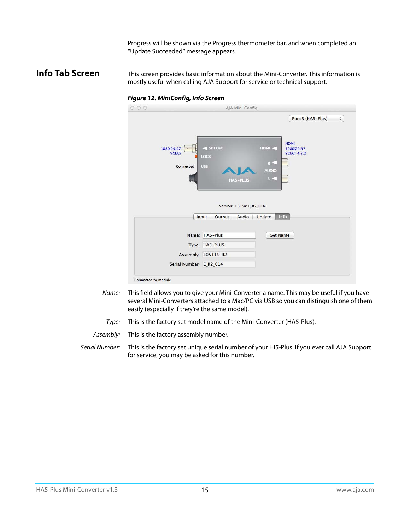Progress will be shown via the Progress thermometer bar, and when completed an "Update Succeeded" message appears.

#### <span id="page-14-1"></span><span id="page-14-0"></span>**Info Tab Screen** This screen provides basic information about the Mini-Converter. This information is mostly useful when calling AJA Support for service or technical support.

#### *Figure 12. MiniConfig, Info Screen*

| 000                                   | AJA Mini Config                                       |                                                                                                                      |
|---------------------------------------|-------------------------------------------------------|----------------------------------------------------------------------------------------------------------------------|
| 1080i29.97<br>$\circ$<br><b>YCbCr</b> | SDI Out                                               | Port:5 (HA5-Plus)<br>$\overset{\mathtt{A}}{\mathtt{v}}$<br><b>HDMI</b><br>HDMI <<br>1080i29.97<br><b>YCbCr 4:2:2</b> |
| Connected                             | LOCK<br><b>USB</b><br><b>HAS-PLUS</b>                 | R<<br><b>AUDIO</b><br>L.C                                                                                            |
|                                       | Version: 1.3 Sn: E_R2_014<br>Audio<br>Input<br>Output | Info<br>Update                                                                                                       |
|                                       | Name: HA5-Plus                                        | <b>Set Name</b>                                                                                                      |
|                                       | Type: HA5-PLUS                                        |                                                                                                                      |
|                                       | Assembly: 105114-R2                                   |                                                                                                                      |
| Serial Number: E_R2_014               |                                                       |                                                                                                                      |
| Connected to module                   |                                                       |                                                                                                                      |

- Name: This field allows you to give your Mini-Converter a name. This may be useful if you have several Mini-Converters attached to a Mac/PC via USB so you can distinguish one of them easily (especially if they're the same model).
- Type: This is the factory set model name of the Mini-Converter (HA5-Plus).

Assembly: This is the factory assembly number.

Serial Number: This is the factory set unique serial number of your Hi5-Plus. If you ever call AJA Support for service, you may be asked for this number.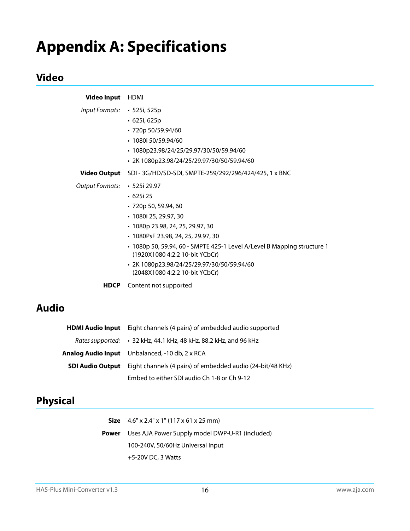# <span id="page-15-0"></span>**Appendix A: Specifications**

## <span id="page-15-1"></span>**Video**

<span id="page-15-4"></span>

| <b>Video Input</b>           | HDMI                                                                                                                                                                                                                                                                                                                                          |
|------------------------------|-----------------------------------------------------------------------------------------------------------------------------------------------------------------------------------------------------------------------------------------------------------------------------------------------------------------------------------------------|
| Input Formats: • 525i, 525p  | • 625i, 625p<br>• 720p 50/59.94/60<br>$\cdot$ 1080i 50/59.94/60<br>· 1080p23.98/24/25/29.97/30/50/59.94/60<br>• 2K 1080p23.98/24/25/29.97/30/50/59.94/60                                                                                                                                                                                      |
| Video Output                 | SDI - 3G/HD/SD-SDI, SMPTE-259/292/296/424/425, 1 x BNC                                                                                                                                                                                                                                                                                        |
| Output Formats: • 525i 29.97 | $\cdot$ 625i 25<br>$\cdot$ 720p 50, 59.94, 60<br>• 1080i 25, 29.97, 30<br>• 1080p 23.98, 24, 25, 29.97, 30<br>• 1080PsF 23.98, 24, 25, 29.97, 30<br>· 1080p 50, 59.94, 60 - SMPTE 425-1 Level A/Level B Mapping structure 1<br>(1920X1080 4:2:2 10-bit YCbCr)<br>· 2K 1080p23.98/24/25/29.97/30/50/59.94/60<br>(2048X1080 4:2:2 10-bit YCbCr) |
| <b>HDCP</b>                  | Content not supported                                                                                                                                                                                                                                                                                                                         |

## <span id="page-15-2"></span>**Audio**

| <b>HDMI Audio Input</b> Eight channels (4 pairs) of embedded audio supported       |
|------------------------------------------------------------------------------------|
| Rates supported: • 32 kHz, 44.1 kHz, 48 kHz, 88.2 kHz, and 96 kHz                  |
| <b>Analog Audio Input</b> Unbalanced, -10 db, 2 x RCA                              |
| <b>SDI Audio Output</b> Eight channels (4 pairs) of embedded audio (24-bit/48 KHz) |
| Embed to either SDI audio Ch 1-8 or Ch 9-12                                        |

## <span id="page-15-3"></span>**Physical**

| <b>Size</b> $4.6'' \times 2.4'' \times 1''$ (117 x 61 x 25 mm) |
|----------------------------------------------------------------|
| <b>Power</b> Uses AJA Power Supply model DWP-U-R1 (included)   |
| 100-240V, 50/60Hz Universal Input                              |
| $+5-20V$ DC, 3 Watts                                           |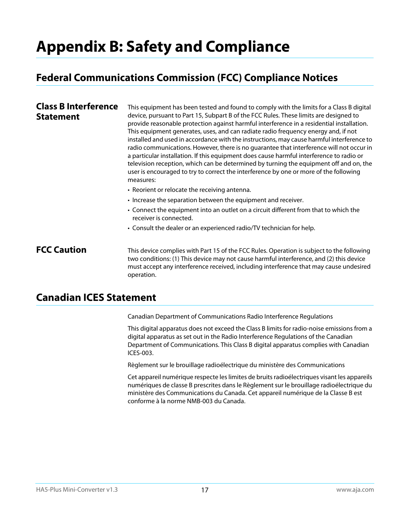# <span id="page-16-0"></span>**Appendix B: Safety and Compliance**

## <span id="page-16-5"></span><span id="page-16-1"></span>**Federal Communications Commission (FCC) Compliance Notices**

#### <span id="page-16-2"></span>**Class B Interference Statement** This equipment has been tested and found to comply with the limits for a Class B digital device, pursuant to Part 15, Subpart B of the FCC Rules. These limits are designed to provide reasonable protection against harmful interference in a residential installation. This equipment generates, uses, and can radiate radio frequency energy and, if not installed and used in accordance with the instructions, may cause harmful interference to radio communications. However, there is no guarantee that interference will not occur in a particular installation. If this equipment does cause harmful interference to radio or television reception, which can be determined by turning the equipment off and on, the user is encouraged to try to correct the interference by one or more of the following measures: • Reorient or relocate the receiving antenna. • Increase the separation between the equipment and receiver. • Connect the equipment into an outlet on a circuit different from that to which the receiver is connected. • Consult the dealer or an experienced radio/TV technician for help.

<span id="page-16-3"></span>**FCC Caution** This device complies with Part 15 of the FCC Rules. Operation is subject to the following two conditions: (1) This device may not cause harmful interference, and (2) this device must accept any interference received, including interference that may cause undesired operation.

## <span id="page-16-4"></span>**Canadian ICES Statement**

Canadian Department of Communications Radio Interference Regulations

This digital apparatus does not exceed the Class B limits for radio-noise emissions from a digital apparatus as set out in the Radio Interference Regulations of the Canadian Department of Communications. This Class B digital apparatus complies with Canadian ICES-003.

Règlement sur le brouillage radioélectrique du ministère des Communications

Cet appareil numérique respecte les limites de bruits radioélectriques visant les appareils numériques de classe B prescrites dans le Règlement sur le brouillage radioélectrique du ministère des Communications du Canada. Cet appareil numérique de la Classe B est conforme à la norme NMB-003 du Canada.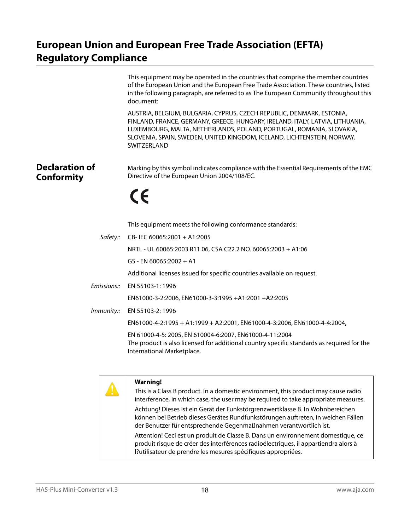## <span id="page-17-0"></span>**European Union and European Free Trade Association (EFTA) Regulatory Compliance**

<span id="page-17-1"></span>

|                                            | This equipment may be operated in the countries that comprise the member countries<br>of the European Union and the European Free Trade Association. These countries, listed<br>in the following paragraph, are referred to as The European Community throughout this<br>document:                                       |
|--------------------------------------------|--------------------------------------------------------------------------------------------------------------------------------------------------------------------------------------------------------------------------------------------------------------------------------------------------------------------------|
|                                            | AUSTRIA, BELGIUM, BULGARIA, CYPRUS, CZECH REPUBLIC, DENMARK, ESTONIA,<br>FINLAND, FRANCE, GERMANY, GREECE, HUNGARY, IRELAND, ITALY, LATVIA, LITHUANIA,<br>LUXEMBOURG, MALTA, NETHERLANDS, POLAND, PORTUGAL, ROMANIA, SLOVAKIA,<br>SLOVENIA, SPAIN, SWEDEN, UNITED KINGDOM, ICELAND, LICHTENSTEIN, NORWAY,<br>SWITZERLAND |
| <b>Declaration of</b><br><b>Conformity</b> | Marking by this symbol indicates compliance with the Essential Requirements of the EMC<br>Directive of the European Union 2004/108/EC.                                                                                                                                                                                   |
|                                            | CE                                                                                                                                                                                                                                                                                                                       |
|                                            | This equipment meets the following conformance standards:                                                                                                                                                                                                                                                                |
| Safety::                                   | CB-IEC 60065:2001 + A1:2005                                                                                                                                                                                                                                                                                              |
|                                            | NRTL - UL 60065:2003 R11.06, CSA C22.2 NO. 60065:2003 + A1:06                                                                                                                                                                                                                                                            |
|                                            | GS - EN 60065:2002 + A1                                                                                                                                                                                                                                                                                                  |
|                                            | Additional licenses issued for specific countries available on request.                                                                                                                                                                                                                                                  |
| Emissions::                                | EN 55103-1: 1996                                                                                                                                                                                                                                                                                                         |
|                                            | EN61000-3-2:2006, EN61000-3-3:1995 +A1:2001 +A2:2005                                                                                                                                                                                                                                                                     |
| Immunity::                                 | EN 55103-2: 1996                                                                                                                                                                                                                                                                                                         |
|                                            | EN61000-4-2:1995 + A1:1999 + A2:2001, EN61000-4-3:2006, EN61000-4-4:2004,                                                                                                                                                                                                                                                |
|                                            | EN 61000-4-5: 2005, EN 610004-6:2007, EN61000-4-11:2004<br>The product is also licensed for additional country specific standards as required for the<br>International Marketplace.                                                                                                                                      |
|                                            |                                                                                                                                                                                                                                                                                                                          |



Attention! Ceci est un produit de Classe B. Dans un environnement domestique, ce produit risque de créer des interférences radioélectriques, il appartiendra alors à l?utilisateur de prendre les mesures spécifiques appropriées.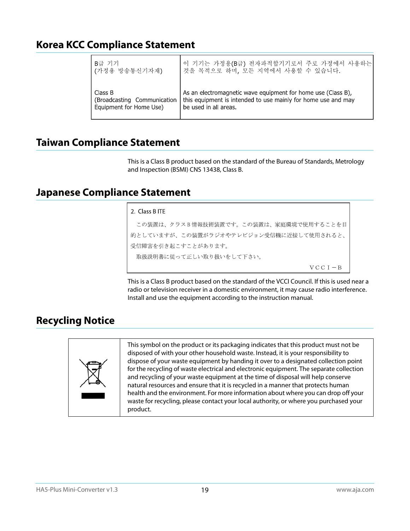## <span id="page-18-0"></span>**Korea KCC Compliance Statement**

| B급 기기                       | 이 기기는 가정용(B급) 전자파적합기기로서 주로 가정에서 사용하는                          |
|-----------------------------|---------------------------------------------------------------|
| (가정용 방송통신기자재)               | 것을 목적으로 하며, 모든 지역에서 사용할 수 있습니다.                               |
| Class B                     | As an electromagnetic wave equipment for home use (Class B),  |
| (Broadcasting Communication | this equipment is intended to use mainly for home use and may |
| Equipment for Home Use)     | be used in all areas.                                         |

## <span id="page-18-1"></span>**Taiwan Compliance Statement**

This is a Class B product based on the standard of the Bureau of Standards, Metrology and Inspection (BSMI) CNS 13438, Class B.

## <span id="page-18-2"></span>**Japanese Compliance Statement**

#### 2. Class B ITE

この装置は、クラスB情報技術装置です。この装置は、家庭環境で使用することを目 的としていますが、この装置がラジオやテレビジョン受信機に近接して使用されると、 受信障害を引き起こすことがあります。 取扱説明書に従って正しい取り扱いをして下さい。  $VCC I - B$ 

This is a Class B product based on the standard of the VCCI Council. If this is used near a radio or television receiver in a domestic environment, it may cause radio interference. Install and use the equipment according to the instruction manual.

## <span id="page-18-3"></span>**Recycling Notice**



This symbol on the product or its packaging indicates that this product must not be disposed of with your other household waste. Instead, it is your responsibility to dispose of your waste equipment by handing it over to a designated collection point for the recycling of waste electrical and electronic equipment. The separate collection and recycling of your waste equipment at the time of disposal will help conserve natural resources and ensure that it is recycled in a manner that protects human health and the environment. For more information about where you can drop off your waste for recycling, please contact your local authority, or where you purchased your product.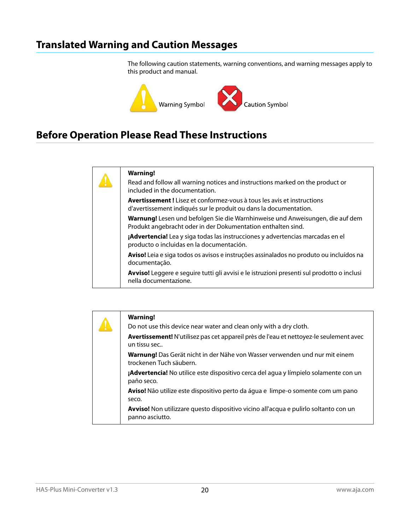## <span id="page-19-0"></span>**Translated Warning and Caution Messages**

The following caution statements, warning conventions, and warning messages apply to this product and manual.



## <span id="page-19-1"></span>**Before Operation Please Read These Instructions**



#### **Warning!**

Read and follow all warning notices and instructions marked on the product or included in the documentation.

**Avertissement !** Lisez et conformez-vous à tous les avis et instructions d'avertissement indiqués sur le produit ou dans la documentation.

**Warnung!** Lesen und befolgen Sie die Warnhinweise und Anweisungen, die auf dem Produkt angebracht oder in der Dokumentation enthalten sind.

**¡Advertencia!** Lea y siga todas las instrucciones y advertencias marcadas en el producto o incluidas en la documentación.

**Aviso!** Leia e siga todos os avisos e instruções assinalados no produto ou incluídos na documentação.

**Avviso!** Leggere e seguire tutti gli avvisi e le istruzioni presenti sul prodotto o inclusi nella documentazione.

|  | <b>Warning!</b>                                                                                               |
|--|---------------------------------------------------------------------------------------------------------------|
|  | Do not use this device near water and clean only with a dry cloth.                                            |
|  | Avertissement! N'utilisez pas cet appareil près de l'eau et nettoyez-le seulement avec<br>un tissu sec        |
|  | <b>Warnung!</b> Das Gerät nicht in der Nähe von Wasser verwenden und nur mit einem<br>trockenen Tuch säubern. |
|  | <b>¡Advertencia!</b> No utilice este dispositivo cerca del agua y límpielo solamente con un<br>paño seco.     |
|  | <b>Aviso!</b> Não utilize este dispositivo perto da água e limpe-o somente com um pano<br>seco.               |
|  | Avviso! Non utilizzare questo dispositivo vicino all'acqua e pulirlo soltanto con un<br>panno asciutto.       |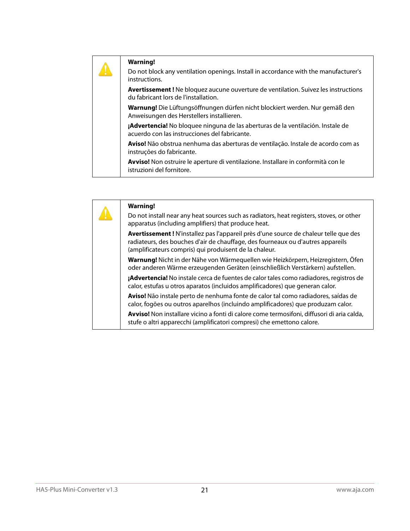| <b>Warning!</b><br>Do not block any ventilation openings. Install in accordance with the manufacturer's<br>instructions.          |
|-----------------------------------------------------------------------------------------------------------------------------------|
| <b>Avertissement!</b> Ne bloquez aucune ouverture de ventilation. Suivez les instructions<br>du fabricant lors de l'installation. |
| Warnung! Die Lüftungsöffnungen dürfen nicht blockiert werden. Nur gemäß den<br>Anweisungen des Herstellers installieren.          |
| ¡Advertencia! No bloquee ninguna de las aberturas de la ventilación. Instale de<br>acuerdo con las instrucciones del fabricante.  |
| Aviso! Não obstrua nenhuma das aberturas de ventilação. Instale de acordo com as<br>instruções do fabricante.                     |
| Avviso! Non ostruire le aperture di ventilazione. Installare in conformità con le<br>istruzioni del fornitore.                    |

|  | <b>Warning!</b>                                                                                                                                                                                                                   |
|--|-----------------------------------------------------------------------------------------------------------------------------------------------------------------------------------------------------------------------------------|
|  | Do not install near any heat sources such as radiators, heat registers, stoves, or other<br>apparatus (including amplifiers) that produce heat.                                                                                   |
|  | Avertissement! N'installez pas l'appareil près d'une source de chaleur telle que des<br>radiateurs, des bouches d'air de chauffage, des fourneaux ou d'autres appareils<br>(amplificateurs compris) qui produisent de la chaleur. |
|  | Warnung! Nicht in der Nähe von Wärmequellen wie Heizkörpern, Heizregistern, Öfen<br>oder anderen Wärme erzeugenden Geräten (einschließlich Verstärkern) aufstellen.                                                               |
|  | <b>¡Advertencia!</b> No instale cerca de fuentes de calor tales como radiadores, registros de<br>calor, estufas u otros aparatos (incluidos amplificadores) que generan calor.                                                    |
|  | Aviso! Não instale perto de nenhuma fonte de calor tal como radiadores, saídas de<br>calor, fogões ou outros aparelhos (incluindo amplificadores) que produzam calor.                                                             |
|  | Avviso! Non installare vicino a fonti di calore come termosifoni, diffusori di aria calda,<br>stufe o altri apparecchi (amplificatori compresi) che emettono calore.                                                              |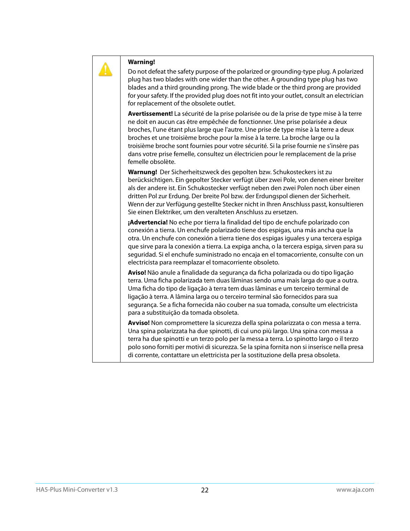

Do not defeat the safety purpose of the polarized or grounding-type plug. A polarized plug has two blades with one wider than the other. A grounding type plug has two blades and a third grounding prong. The wide blade or the third prong are provided for your safety. If the provided plug does not fit into your outlet, consult an electrician for replacement of the obsolete outlet.

**Avertissement!** La sécurité de la prise polarisée ou de la prise de type mise à la terre ne doit en aucun cas être empêchée de fonctionner. Une prise polarisée a deux broches, l'une étant plus large que l'autre. Une prise de type mise à la terre a deux broches et une troisième broche pour la mise à la terre. La broche large ou la troisième broche sont fournies pour votre sécurité. Si la prise fournie ne s'insère pas dans votre prise femelle, consultez un électricien pour le remplacement de la prise femelle obsolète.

**Warnung!** Der Sicherheitszweck des gepolten bzw. Schukosteckers ist zu berücksichtigen. Ein gepolter Stecker verfügt über zwei Pole, von denen einer breiter als der andere ist. Ein Schukostecker verfügt neben den zwei Polen noch über einen dritten Pol zur Erdung. Der breite Pol bzw. der Erdungspol dienen der Sicherheit. Wenn der zur Verfügung gestellte Stecker nicht in Ihren Anschluss passt, konsultieren Sie einen Elektriker, um den veralteten Anschluss zu ersetzen.

**¡Advertencia!** No eche por tierra la finalidad del tipo de enchufe polarizado con conexión a tierra. Un enchufe polarizado tiene dos espigas, una más ancha que la otra. Un enchufe con conexión a tierra tiene dos espigas iguales y una tercera espiga que sirve para la conexión a tierra. La expiga ancha, o la tercera espiga, sirven para su seguridad. Si el enchufe suministrado no encaja en el tomacorriente, consulte con un electricista para reemplazar el tomacorriente obsoleto.

**Aviso!** Não anule a finalidade da segurança da ficha polarizada ou do tipo ligação terra. Uma ficha polarizada tem duas lâminas sendo uma mais larga do que a outra. Uma ficha do tipo de ligação à terra tem duas lâminas e um terceiro terminal de ligação à terra. A lâmina larga ou o terceiro terminal são fornecidos para sua segurança. Se a ficha fornecida não couber na sua tomada, consulte um electricista para a substituição da tomada obsoleta.

**Avviso!** Non compromettere la sicurezza della spina polarizzata o con messa a terra. Una spina polarizzata ha due spinotti, di cui uno più largo. Una spina con messa a terra ha due spinotti e un terzo polo per la messa a terra. Lo spinotto largo o il terzo polo sono forniti per motivi di sicurezza. Se la spina fornita non si inserisce nella presa di corrente, contattare un elettricista per la sostituzione della presa obsoleta.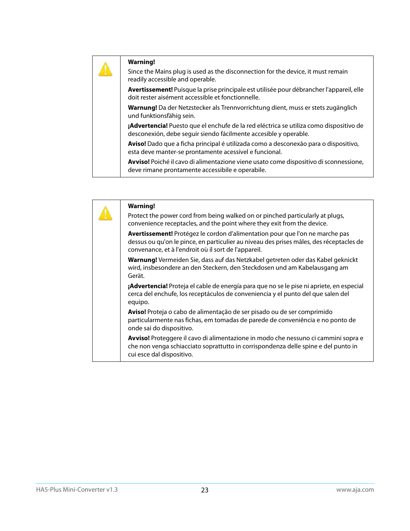Since the Mains plug is used as the disconnection for the device, it must remain readily accessible and operable.

**Avertissement!** Puisque la prise principale est utilisée pour débrancher l'appareil, elle doit rester aisément accessible et fonctionnelle.

**Warnung!** Da der Netzstecker als Trennvorrichtung dient, muss er stets zugänglich und funktionsfähig sein.

**¡Advertencia!** Puesto que el enchufe de la red eléctrica se utiliza como dispositivo de desconexión, debe seguir siendo fácilmente accesible y operable.

**Aviso!** Dado que a ficha principal é utilizada como a desconexão para o dispositivo, esta deve manter-se prontamente acessível e funcional.

**Avviso!** Poiché il cavo di alimentazione viene usato come dispositivo di sconnessione, deve rimane prontamente accessibile e operabile.

| <b>Warning!</b><br>Protect the power cord from being walked on or pinched particularly at plugs,<br>convenience receptacles, and the point where they exit from the device.                                                     |
|---------------------------------------------------------------------------------------------------------------------------------------------------------------------------------------------------------------------------------|
| Avertissement! Protégez le cordon d'alimentation pour que l'on ne marche pas<br>dessus ou qu'on le pince, en particulier au niveau des prises mâles, des réceptacles de<br>convenance, et à l'endroit où il sort de l'appareil. |
| Warnung! Vermeiden Sie, dass auf das Netzkabel getreten oder das Kabel geknickt<br>wird, insbesondere an den Steckern, den Steckdosen und am Kabelausgang am<br>Gerät.                                                          |
| ¡Advertencia! Proteja el cable de energía para que no se le pise ni apriete, en especial<br>cerca del enchufe, los receptáculos de conveniencia y el punto del que salen del<br>equipo.                                         |
| Aviso! Proteja o cabo de alimentação de ser pisado ou de ser comprimido<br>particularmente nas fichas, em tomadas de parede de conveniência e no ponto de<br>onde sai do dispositivo.                                           |
| Avviso! Proteggere il cavo di alimentazione in modo che nessuno ci cammini sopra e<br>che non venga schiacciato soprattutto in corrispondenza delle spine e del punto in<br>cui esce dal dispositivo.                           |
|                                                                                                                                                                                                                                 |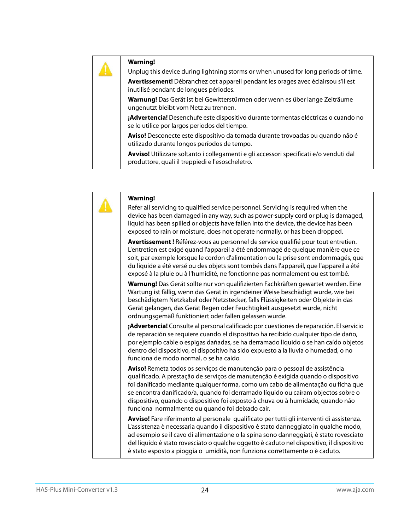Unplug this device during lightning storms or when unused for long periods of time.

**Avertissement!** Débranchez cet appareil pendant les orages avec éclairsou s'il est inutilisé pendant de longues périodes.

**Warnung!** Das Gerät ist bei Gewitterstürmen oder wenn es über lange Zeiträume ungenutzt bleibt vom Netz zu trennen.

**¡Advertencia!** Desenchufe este dispositivo durante tormentas eléctricas o cuando no se lo utilice por largos periodos del tiempo.

**Aviso!** Desconecte este dispositivo da tomada durante trovoadas ou quando não é utilizado durante longos períodos de tempo.

**Avviso!** Utilizzare soltanto i collegamenti e gli accessori specificati e/o venduti dal produttore, quali il treppiedi e l'esoscheletro.

| <b>Warning!</b>                                                                                                                                                                                                                                                                                                                                                                                                                                                                  |
|----------------------------------------------------------------------------------------------------------------------------------------------------------------------------------------------------------------------------------------------------------------------------------------------------------------------------------------------------------------------------------------------------------------------------------------------------------------------------------|
| Refer all servicing to qualified service personnel. Servicing is required when the<br>device has been damaged in any way, such as power-supply cord or plug is damaged,<br>liquid has been spilled or objects have fallen into the device, the device has been<br>exposed to rain or moisture, does not operate normally, or has been dropped.                                                                                                                                   |
| Avertissement! Référez-vous au personnel de service qualifié pour tout entretien.<br>L'entretien est exigé quand l'appareil a été endommagé de quelque manière que ce<br>soit, par exemple lorsque le cordon d'alimentation ou la prise sont endommagés, que<br>du liquide a été versé ou des objets sont tombés dans l'appareil, que l'appareil a été<br>exposé à la pluie ou à l'humidité, ne fonctionne pas normalement ou est tombé.                                         |
| Warnung! Das Gerät sollte nur von qualifizierten Fachkräften gewartet werden. Eine<br>Wartung ist fällig, wenn das Gerät in irgendeiner Weise beschädigt wurde, wie bei<br>beschädigtem Netzkabel oder Netzstecker, falls Flüssigkeiten oder Objekte in das<br>Gerät gelangen, das Gerät Regen oder Feuchtigkeit ausgesetzt wurde, nicht<br>ordnungsgemäß funktioniert oder fallen gelassen wurde.                                                                               |
| ¡Advertencia! Consulte al personal calificado por cuestiones de reparación. El servicio<br>de reparación se requiere cuando el dispositivo ha recibido cualquier tipo de daño,<br>por ejemplo cable o espigas dañadas, se ha derramado líquido o se han caído objetos<br>dentro del dispositivo, el dispositivo ha sido expuesto a la lluvia o humedad, o no<br>funciona de modo normal, o se ha caído.                                                                          |
| Aviso! Remeta todos os serviços de manutenção para o pessoal de assistência<br>qualificado. A prestação de serviços de manutenção é exigida quando o dispositivo<br>foi danificado mediante qualquer forma, como um cabo de alimentação ou ficha que<br>se encontra danificado/a, quando foi derramado líquido ou caíram objectos sobre o<br>dispositivo, quando o dispositivo foi exposto à chuva ou à humidade, quando não<br>funciona normalmente ou quando foi deixado cair. |
| Avviso! Fare riferimento al personale qualificato per tutti gli interventi di assistenza.<br>L'assistenza è necessaria quando il dispositivo è stato danneggiato in qualche modo,<br>ad esempio se il cavo di alimentazione o la spina sono danneggiati, è stato rovesciato<br>del liquido è stato rovesciato o qualche oggetto è caduto nel dispositivo, il dispositivo<br>è stato esposto a pioggia o umidità, non funziona correttamente o è caduto.                          |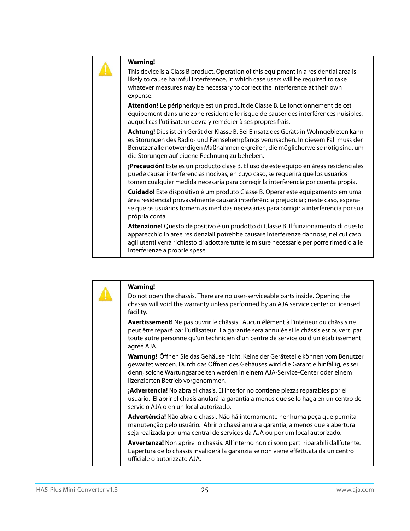This device is a Class B product. Operation of this equipment in a residential area is likely to cause harmful interference, in which case users will be required to take whatever measures may be necessary to correct the interference at their own expense.

**Attention!** Le périphérique est un produit de Classe B. Le fonctionnement de cet équipement dans une zone résidentielle risque de causer des interférences nuisibles, auquel cas l'utilisateur devra y remédier à ses propres frais.

**Achtung!** Dies ist ein Gerät der Klasse B. Bei Einsatz des Geräts in Wohngebieten kann es Störungen des Radio- und Fernsehempfangs verursachen. In diesem Fall muss der Benutzer alle notwendigen Maßnahmen ergreifen, die möglicherweise nötig sind, um die Störungen auf eigene Rechnung zu beheben.

**¡Precaución!** Este es un producto clase B. El uso de este equipo en áreas residenciales puede causar interferencias nocivas, en cuyo caso, se requerirá que los usuarios tomen cualquier medida necesaria para corregir la interferencia por cuenta propia.

**Cuidado!** Este dispositivo é um produto Classe B. Operar este equipamento em uma área residencial provavelmente causará interferência prejudicial; neste caso, esperase que os usuários tomem as medidas necessárias para corrigir a interferência por sua própria conta.

**Attenzione!** Questo dispositivo è un prodotto di Classe B. Il funzionamento di questo apparecchio in aree residenziali potrebbe causare interferenze dannose, nel cui caso agli utenti verrà richiesto di adottare tutte le misure necessarie per porre rimedio alle interferenze a proprie spese.

|  | <b>Warning!</b>                                                                                                                                                                                                                                                                            |
|--|--------------------------------------------------------------------------------------------------------------------------------------------------------------------------------------------------------------------------------------------------------------------------------------------|
|  | Do not open the chassis. There are no user-serviceable parts inside. Opening the<br>chassis will void the warranty unless performed by an AJA service center or licensed<br>facility.                                                                                                      |
|  | Avertissement! Ne pas ouvrir le châssis. Aucun élément à l'intérieur du châssis ne<br>peut être réparé par l'utilisateur. La garantie sera annulée si le châssis est ouvert par<br>toute autre personne qu'un technicien d'un centre de service ou d'un établissement<br>agréé AJA.        |
|  | Warnung! Öffnen Sie das Gehäuse nicht. Keine der Geräteteile können vom Benutzer<br>gewartet werden. Durch das Öffnen des Gehäuses wird die Garantie hinfällig, es sei<br>denn, solche Wartungsarbeiten werden in einem AJA-Service-Center oder einem<br>lizenzierten Betrieb vorgenommen. |
|  | <b>¡Advertencia!</b> No abra el chasis. El interior no contiene piezas reparables por el<br>usuario. El abrir el chasis anulará la garantía a menos que se lo haga en un centro de<br>servicio AJA o en un local autorizado.                                                               |
|  | Advertência! Não abra o chassi. Não há internamente nenhuma peça que permita<br>manutenção pelo usuário. Abrir o chassi anula a garantia, a menos que a abertura<br>seja realizada por uma central de serviços da AJA ou por um local autorizado.                                          |
|  | Avvertenza! Non aprire lo chassis. All'interno non ci sono parti riparabili dall'utente.<br>L'apertura dello chassis invaliderà la garanzia se non viene effettuata da un centro<br>ufficiale o autorizzato AJA.                                                                           |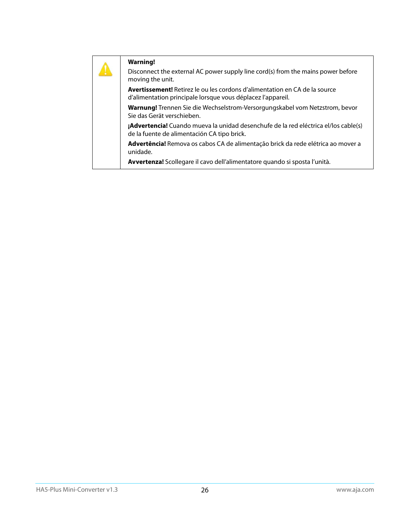|  | <b>Warning!</b><br>Disconnect the external AC power supply line cord(s) from the mains power before<br>moving the unit.                          |
|--|--------------------------------------------------------------------------------------------------------------------------------------------------|
|  | <b>Avertissement!</b> Retirez le ou les cordons d'alimentation en CA de la source<br>d'alimentation principale lorsque vous déplacez l'appareil. |
|  | Warnung! Trennen Sie die Wechselstrom-Versorgungskabel vom Netzstrom, bevor<br>Sie das Gerät verschieben.                                        |
|  | ¡Advertencia! Cuando mueva la unidad desenchufe de la red eléctrica el/los cable(s)<br>de la fuente de alimentación CA tipo brick.               |
|  | Advertência! Remova os cabos CA de alimentação brick da rede elétrica ao mover a<br>unidade.                                                     |
|  | Avvertenza! Scollegare il cavo dell'alimentatore quando si sposta l'unità.                                                                       |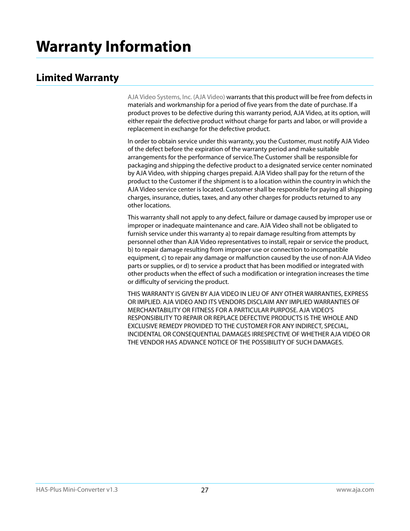## <span id="page-26-1"></span><span id="page-26-0"></span>**Limited Warranty**

AJA Video Systems, Inc. (AJA Video) warrants that this product will be free from defects in materials and workmanship for a period of five years from the date of purchase. If a product proves to be defective during this warranty period, AJA Video, at its option, will either repair the defective product without charge for parts and labor, or will provide a replacement in exchange for the defective product.

In order to obtain service under this warranty, you the Customer, must notify AJA Video of the defect before the expiration of the warranty period and make suitable arrangements for the performance of service.The Customer shall be responsible for packaging and shipping the defective product to a designated service center nominated by AJA Video, with shipping charges prepaid. AJA Video shall pay for the return of the product to the Customer if the shipment is to a location within the country in which the AJA Video service center is located. Customer shall be responsible for paying all shipping charges, insurance, duties, taxes, and any other charges for products returned to any other locations.

This warranty shall not apply to any defect, failure or damage caused by improper use or improper or inadequate maintenance and care. AJA Video shall not be obligated to furnish service under this warranty a) to repair damage resulting from attempts by personnel other than AJA Video representatives to install, repair or service the product, b) to repair damage resulting from improper use or connection to incompatible equipment, c) to repair any damage or malfunction caused by the use of non-AJA Video parts or supplies, or d) to service a product that has been modified or integrated with other products when the effect of such a modification or integration increases the time or difficulty of servicing the product.

THIS WARRANTY IS GIVEN BY AJA VIDEO IN LIEU OF ANY OTHER WARRANTIES, EXPRESS OR IMPLIED. AJA VIDEO AND ITS VENDORS DISCLAIM ANY IMPLIED WARRANTIES OF MERCHANTABILITY OR FITNESS FOR A PARTICULAR PURPOSE. AJA VIDEO'S RESPONSIBILITY TO REPAIR OR REPLACE DEFECTIVE PRODUCTS IS THE WHOLE AND EXCLUSIVE REMEDY PROVIDED TO THE CUSTOMER FOR ANY INDIRECT, SPECIAL, INCIDENTAL OR CONSEQUENTIAL DAMAGES IRRESPECTIVE OF WHETHER AJA VIDEO OR THE VENDOR HAS ADVANCE NOTICE OF THE POSSIBILITY OF SUCH DAMAGES.